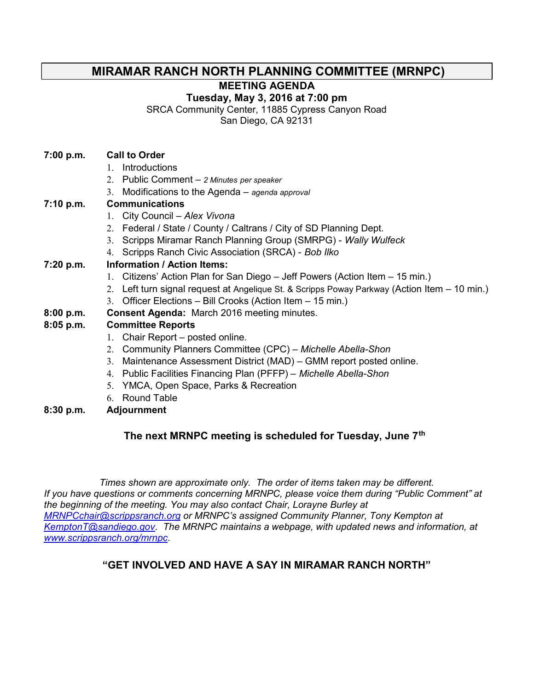### MIRAMAR RANCH NORTH PLANNING COMMITTEE (MRNPC)

MEETING AGENDA

Tuesday, May 3, 2016 at 7:00 pm

SRCA Community Center, 11885 Cypress Canyon Road

San Diego, CA 92131

#### 7:00 p.m. Call to Order

- 1. Introductions
- 2. Public Comment 2 Minutes per speaker
- 3. Modifications to the Agenda agenda approval

#### 7:10 p.m. Communications

- 1. City Council Alex Vivona
- 2. Federal / State / County / Caltrans / City of SD Planning Dept.
- 3. Scripps Miramar Ranch Planning Group (SMRPG) Wally Wulfeck
- 4. Scripps Ranch Civic Association (SRCA) Bob Ilko

#### 7:20 p.m. Information / Action Items:

- 1. Citizens' Action Plan for San Diego Jeff Powers (Action Item 15 min.)
- 2. Left turn signal request at Angelique St. & Scripps Poway Parkway (Action Item 10 min.)
- 3. Officer Elections Bill Crooks (Action Item 15 min.)
- 8:00 p.m. Consent Agenda: March 2016 meeting minutes.

#### 8:05 p.m. Committee Reports

- 1. Chair Report posted online.
- 2. Community Planners Committee (CPC) Michelle Abella-Shon
- 3. Maintenance Assessment District (MAD) GMM report posted online.
- 4. Public Facilities Financing Plan (PFFP) Michelle Abella-Shon
- 5. YMCA, Open Space, Parks & Recreation
- 6. Round Table
- 8:30 p.m. Adjournment

### The next MRNPC meeting is scheduled for Tuesday, June 7<sup>th</sup>

Times shown are approximate only. The order of items taken may be different. If you have questions or comments concerning MRNPC, please voice them during "Public Comment" at the beginning of the meeting. You may also contact Chair, Lorayne Burley at MRNPCchair@scrippsranch.org or MRNPC's assigned Community Planner, Tony Kempton at KemptonT@sandiego.gov. The MRNPC maintains a webpage, with updated news and information, at www.scrippsranch.org/mrnpc.

### "GET INVOLVED AND HAVE A SAY IN MIRAMAR RANCH NORTH"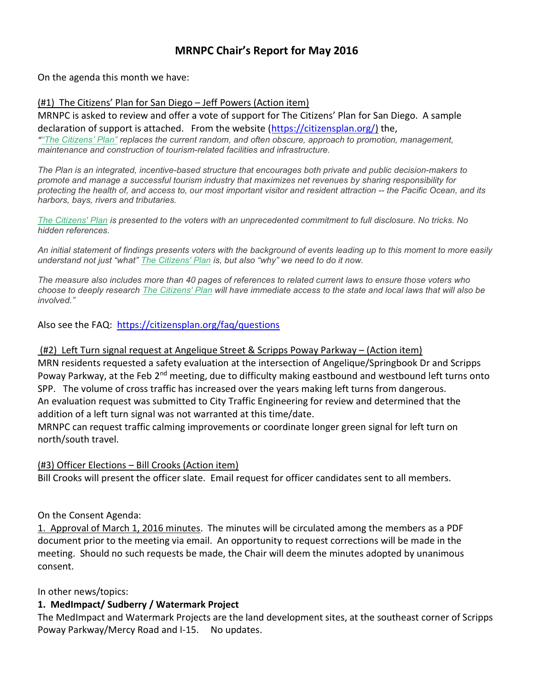## MRNPC Chair's Report for May 2016

On the agenda this month we have:

#### (#1) The Citizens' Plan for San Diego – Jeff Powers (Action item)

MRNPC is asked to review and offer a vote of support for The Citizens' Plan for San Diego. A sample declaration of support is attached. From the website (https://citizensplan.org/) the, ""The Citizens' Plan" replaces the current random, and often obscure, approach to promotion, management, maintenance and construction of tourism-related facilities and infrastructure.

The Plan is an integrated, incentive-based structure that encourages both private and public decision-makers to promote and manage a successful tourism industry that maximizes net revenues by sharing responsibility for protecting the health of, and access to, our most important visitor and resident attraction -- the Pacific Ocean, and its harbors, bays, rivers and tributaries.

The Citizens' Plan is presented to the voters with an unprecedented commitment to full disclosure. No tricks. No hidden references.

An initial statement of findings presents voters with the background of events leading up to this moment to more easily understand not just "what" The Citizens' Plan is, but also "why" we need to do it now.

The measure also includes more than 40 pages of references to related current laws to ensure those voters who choose to deeply research The Citizens' Plan will have immediate access to the state and local laws that will also be involved."

Also see the FAQ: https://citizensplan.org/faq/questions

(#2) Left Turn signal request at Angelique Street & Scripps Poway Parkway – (Action item)

MRN residents requested a safety evaluation at the intersection of Angelique/Springbook Dr and Scripps Poway Parkway, at the Feb 2<sup>nd</sup> meeting, due to difficulty making eastbound and westbound left turns onto SPP. The volume of cross traffic has increased over the years making left turns from dangerous. An evaluation request was submitted to City Traffic Engineering for review and determined that the addition of a left turn signal was not warranted at this time/date.

MRNPC can request traffic calming improvements or coordinate longer green signal for left turn on north/south travel.

#### (#3) Officer Elections – Bill Crooks (Action item)

Bill Crooks will present the officer slate. Email request for officer candidates sent to all members.

#### On the Consent Agenda:

1. Approval of March 1, 2016 minutes. The minutes will be circulated among the members as a PDF document prior to the meeting via email. An opportunity to request corrections will be made in the meeting. Should no such requests be made, the Chair will deem the minutes adopted by unanimous consent.

In other news/topics:

#### 1. MedImpact/ Sudberry / Watermark Project

The MedImpact and Watermark Projects are the land development sites, at the southeast corner of Scripps Poway Parkway/Mercy Road and I-15. No updates.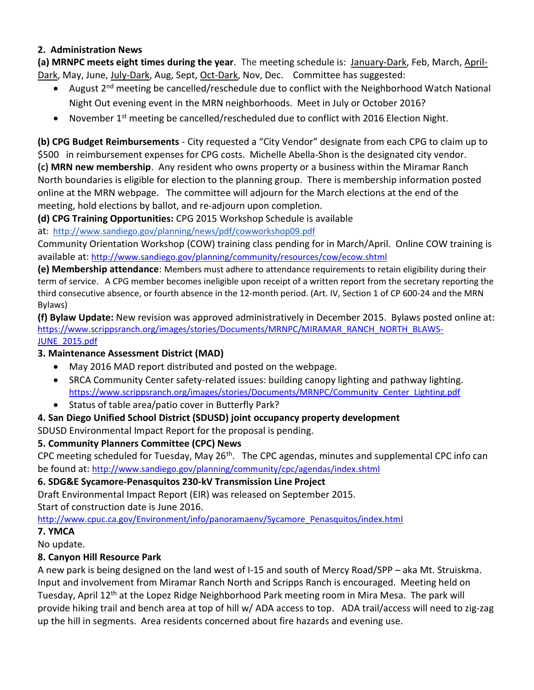#### 2. Administration News

(a) MRNPC meets eight times during the year. The meeting schedule is: January-Dark, Feb, March, April-Dark, May, June, July-Dark, Aug, Sept, Oct-Dark, Nov, Dec. Committee has suggested:

- August  $2<sup>nd</sup>$  meeting be cancelled/reschedule due to conflict with the Neighborhood Watch National Night Out evening event in the MRN neighborhoods. Meet in July or October 2016?
- November 1<sup>st</sup> meeting be cancelled/rescheduled due to conflict with 2016 Election Night.

(b) CPG Budget Reimbursements - City requested a "City Vendor" designate from each CPG to claim up to \$500 in reimbursement expenses for CPG costs. Michelle Abella-Shon is the designated city vendor. (c) MRN new membership. Any resident who owns property or a business within the Miramar Ranch North boundaries is eligible for election to the planning group. There is membership information posted online at the MRN webpage. The committee will adjourn for the March elections at the end of the meeting, hold elections by ballot, and re-adjourn upon completion.

(d) CPG Training Opportunities: CPG 2015 Workshop Schedule is available

at: http://www.sandiego.gov/planning/news/pdf/cowworkshop09.pdf

Community Orientation Workshop (COW) training class pending for in March/April. Online COW training is available at: http://www.sandiego.gov/planning/community/resources/cow/ecow.shtml

(e) Membership attendance: Members must adhere to attendance requirements to retain eligibility during their term of service. A CPG member becomes ineligible upon receipt of a written report from the secretary reporting the third consecutive absence, or fourth absence in the 12-month period. (Art. IV, Section 1 of CP 600-24 and the MRN Bylaws)

(f) Bylaw Update: New revision was approved administratively in December 2015. Bylaws posted online at: https://www.scrippsranch.org/images/stories/Documents/MRNPC/MIRAMAR\_RANCH\_NORTH\_BLAWS-JUNE\_2015.pdf

### 3. Maintenance Assessment District (MAD)

- May 2016 MAD report distributed and posted on the webpage.
- SRCA Community Center safety-related issues: building canopy lighting and pathway lighting. https://www.scrippsranch.org/images/stories/Documents/MRNPC/Community\_Center\_Lighting.pdf
- Status of table area/patio cover in Butterfly Park?

## 4. San Diego Unified School District (SDUSD) joint occupancy property development

SDUSD Environmental Impact Report for the proposal is pending.

## 5. Community Planners Committee (CPC) News

CPC meeting scheduled for Tuesday, May 26<sup>th</sup>. The CPC agendas, minutes and supplemental CPC info can be found at: http://www.sandiego.gov/planning/community/cpc/agendas/index.shtml

### 6. SDG&E Sycamore-Penasquitos 230-kV Transmission Line Project

Draft Environmental Impact Report (EIR) was released on September 2015.

Start of construction date is June 2016.

http://www.cpuc.ca.gov/Environment/info/panoramaenv/Sycamore\_Penasquitos/index.html

### 7. YMCA

No update.

### 8. Canyon Hill Resource Park

A new park is being designed on the land west of I-15 and south of Mercy Road/SPP – aka Mt. Struiskma. Input and involvement from Miramar Ranch North and Scripps Ranch is encouraged. Meeting held on Tuesday, April 12<sup>th</sup> at the Lopez Ridge Neighborhood Park meeting room in Mira Mesa. The park will provide hiking trail and bench area at top of hill w/ ADA access to top. ADA trail/access will need to zig-zag up the hill in segments. Area residents concerned about fire hazards and evening use.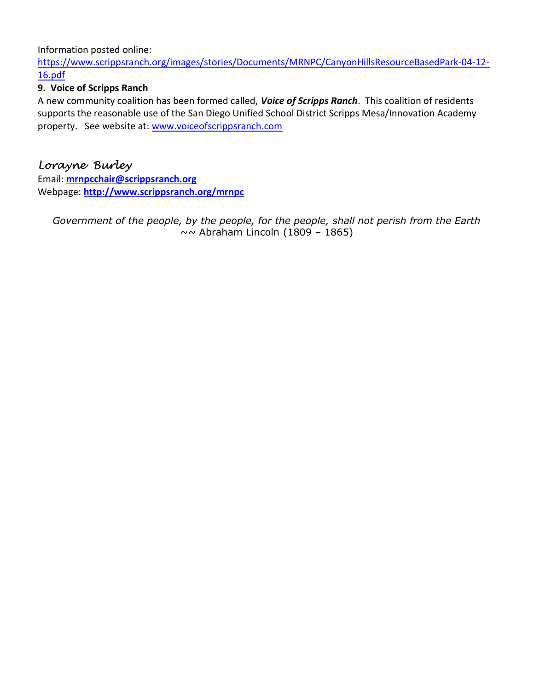Information posted online:

https://www.scrippsranch.org/images/stories/Documents/MRNPC/CanyonHillsResourceBasedPark-04-12- 16.pdf

### 9. Voice of Scripps Ranch

A new community coalition has been formed called, Voice of Scripps Ranch. This coalition of residents supports the reasonable use of the San Diego Unified School District Scripps Mesa/Innovation Academy property. See website at: www.voiceofscrippsranch.com

# Lorayne Burley

Email: mrnpcchair@scrippsranch.org Webpage: http://www.scrippsranch.org/mrnpc

Government of the people, by the people, for the people, shall not perish from the Earth  $\sim$  Abraham Lincoln (1809 – 1865)